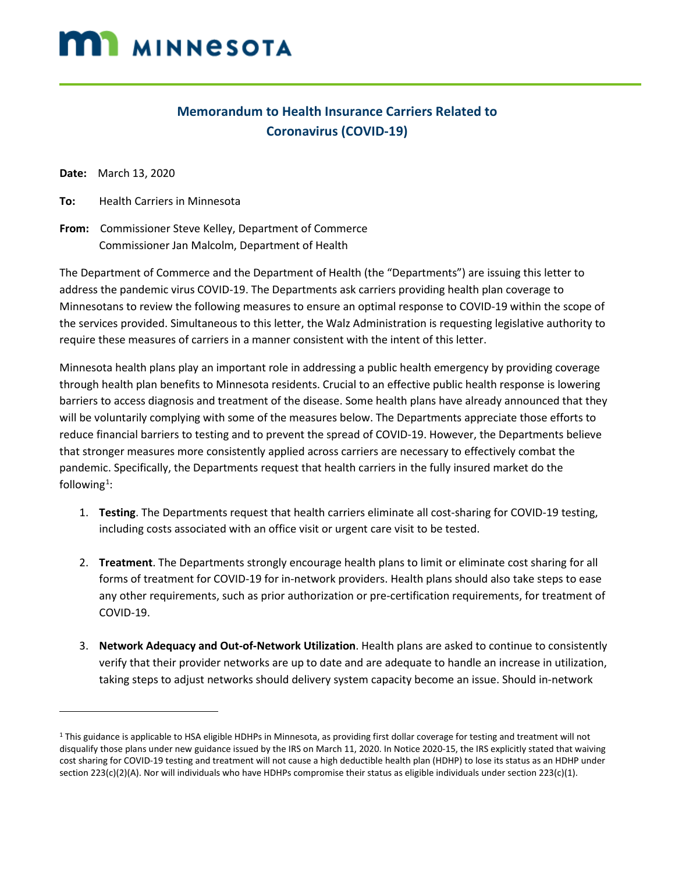# **MI** MINNESOTA

### **Memorandum to Health Insurance Carriers Related to Coronavirus (COVID-19)**

**Date:** March 13, 2020

l

**To:** Health Carriers in Minnesota

**From:** Commissioner Steve Kelley, Department of Commerce Commissioner Jan Malcolm, Department of Health

The Department of Commerce and the Department of Health (the "Departments") are issuing this letter to address the pandemic virus COVID-19. The Departments ask carriers providing health plan coverage to Minnesotans to review the following measures to ensure an optimal response to COVID-19 within the scope of the services provided. Simultaneous to this letter, the Walz Administration is requesting legislative authority to require these measures of carriers in a manner consistent with the intent of this letter.

Minnesota health plans play an important role in addressing a public health emergency by providing coverage through health plan benefits to Minnesota residents. Crucial to an effective public health response is lowering barriers to access diagnosis and treatment of the disease. Some health plans have already announced that they will be voluntarily complying with some of the measures below. The Departments appreciate those efforts to reduce financial barriers to testing and to prevent the spread of COVID-19. However, the Departments believe that stronger measures more consistently applied across carriers are necessary to effectively combat the pandemic. Specifically, the Departments request that health carriers in the fully insured market do the following<sup>[1](#page-0-0)</sup>:

- 1. **Testing**. The Departments request that health carriers eliminate all cost-sharing for COVID-19 testing, including costs associated with an office visit or urgent care visit to be tested.
- 2. **Treatment**. The Departments strongly encourage health plans to limit or eliminate cost sharing for all forms of treatment for COVID-19 for in-network providers. Health plans should also take steps to ease any other requirements, such as prior authorization or pre-certification requirements, for treatment of COVID-19.
- 3. **Network Adequacy and Out-of-Network Utilization**. Health plans are asked to continue to consistently verify that their provider networks are up to date and are adequate to handle an increase in utilization, taking steps to adjust networks should delivery system capacity become an issue. Should in-network

<span id="page-0-0"></span><sup>&</sup>lt;sup>1</sup> This guidance is applicable to HSA eligible HDHPs in Minnesota, as providing first dollar coverage for testing and treatment will not disqualify those plans under new guidance issued by the IRS on March 11, 2020. In Notice 2020-15, the IRS explicitly stated that waiving cost sharing for COVID-19 testing and treatment will not cause a high deductible health plan (HDHP) to lose its status as an HDHP under section 223(c)(2)(A). Nor will individuals who have HDHPs compromise their status as eligible individuals under section 223(c)(1).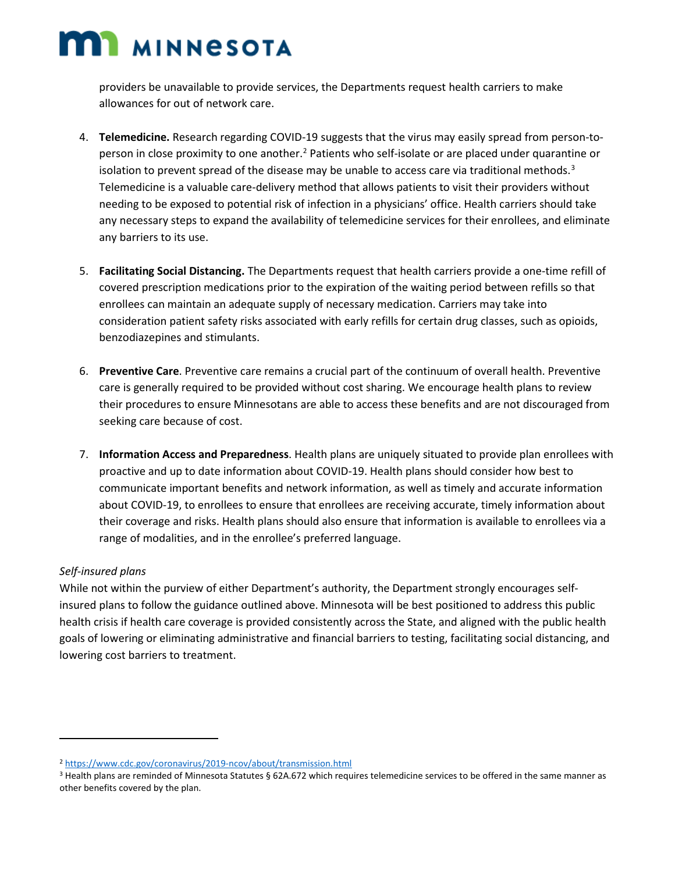## **MI MINNESOTA**

providers be unavailable to provide services, the Departments request health carriers to make allowances for out of network care.

- 4. **Telemedicine.** Research regarding COVID-19 suggests that the virus may easily spread from person-to-person in close proximity to one another.<sup>[2](#page-1-0)</sup> Patients who self-isolate or are placed under quarantine or isolation to prevent spread of the disease may be unable to access care via traditional methods.<sup>[3](#page-1-1)</sup> Telemedicine is a valuable care-delivery method that allows patients to visit their providers without needing to be exposed to potential risk of infection in a physicians' office. Health carriers should take any necessary steps to expand the availability of telemedicine services for their enrollees, and eliminate any barriers to its use.
- 5. **Facilitating Social Distancing.** The Departments request that health carriers provide a one-time refill of covered prescription medications prior to the expiration of the waiting period between refills so that enrollees can maintain an adequate supply of necessary medication. Carriers may take into consideration patient safety risks associated with early refills for certain drug classes, such as opioids, benzodiazepines and stimulants.
- 6. **Preventive Care**. Preventive care remains a crucial part of the continuum of overall health. Preventive care is generally required to be provided without cost sharing. We encourage health plans to review their procedures to ensure Minnesotans are able to access these benefits and are not discouraged from seeking care because of cost.
- 7. **Information Access and Preparedness**. Health plans are uniquely situated to provide plan enrollees with proactive and up to date information about COVID-19. Health plans should consider how best to communicate important benefits and network information, as well as timely and accurate information about COVID-19, to enrollees to ensure that enrollees are receiving accurate, timely information about their coverage and risks. Health plans should also ensure that information is available to enrollees via a range of modalities, and in the enrollee's preferred language.

### *Self-insured plans*

l

While not within the purview of either Department's authority, the Department strongly encourages selfinsured plans to follow the guidance outlined above. Minnesota will be best positioned to address this public health crisis if health care coverage is provided consistently across the State, and aligned with the public health goals of lowering or eliminating administrative and financial barriers to testing, facilitating social distancing, and lowering cost barriers to treatment.

<span id="page-1-0"></span><sup>2</sup> <https://www.cdc.gov/coronavirus/2019-ncov/about/transmission.html>

<span id="page-1-1"></span><sup>3</sup> Health plans are reminded of Minnesota Statutes § 62A.672 which requires telemedicine services to be offered in the same manner as other benefits covered by the plan.